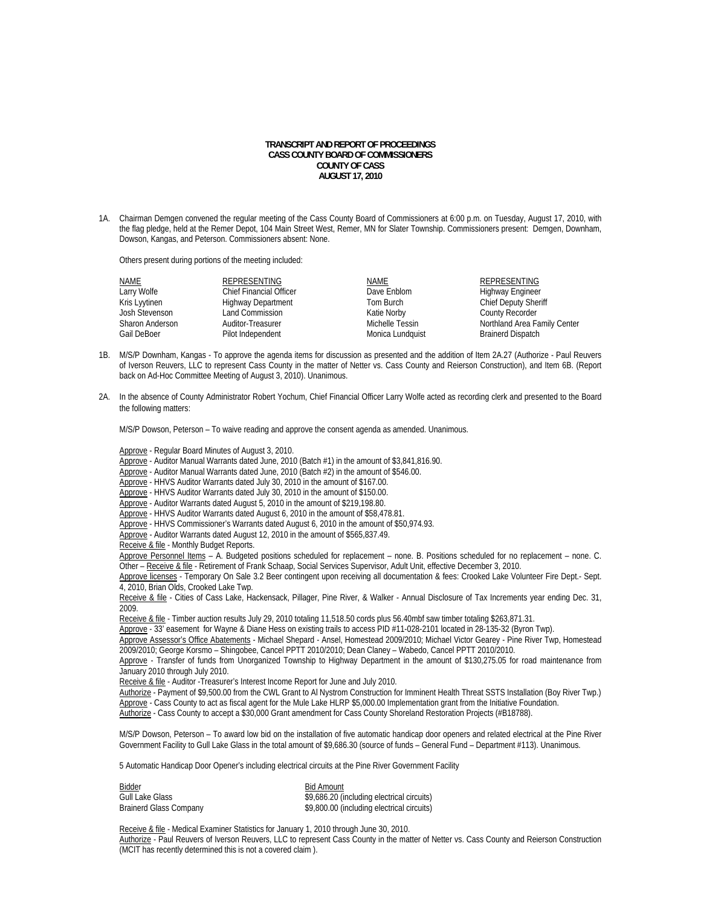## **TRANSCRIPT AND REPORT OF PROCEEDINGS CASS COUNTY BOARD OF COMMISSIONERS COUNTY OF CASS AUGUST 17, 2010**

1A. Chairman Demgen convened the regular meeting of the Cass County Board of Commissioners at 6:00 p.m. on Tuesday, August 17, 2010, with the flag pledge, held at the Remer Depot, 104 Main Street West, Remer, MN for Slater Township. Commissioners present: Demgen, Downham, Dowson, Kangas, and Peterson. Commissioners absent: None.

Others present during portions of the meeting included:

| <b>NAME</b>     | REPRESENTING                   | NAME             | REPRESENTING                 |
|-----------------|--------------------------------|------------------|------------------------------|
| Larry Wolfe     | <b>Chief Financial Officer</b> | Dave Enblom      | Highway Engineer             |
| Kris Lyytinen   | <b>Highway Department</b>      | Tom Burch        | <b>Chief Deputy Sheriff</b>  |
| Josh Stevenson  | Land Commission                | Katie Norby      | <b>County Recorder</b>       |
| Sharon Anderson | Auditor-Treasurer              | Michelle Tessin  | Northland Area Family Center |
| Gail DeBoer     | Pilot Independent              | Monica Lundquist | <b>Brainerd Dispatch</b>     |

- 1B. M/S/P Downham, Kangas To approve the agenda items for discussion as presented and the addition of Item 2A.27 (Authorize Paul Reuvers of Iverson Reuvers, LLC to represent Cass County in the matter of Netter vs. Cass County and Reierson Construction), and Item 6B. (Report back on Ad-Hoc Committee Meeting of August 3, 2010). Unanimous.
- 2A. In the absence of County Administrator Robert Yochum, Chief Financial Officer Larry Wolfe acted as recording clerk and presented to the Board the following matters:

M/S/P Dowson, Peterson – To waive reading and approve the consent agenda as amended. Unanimous.

Approve - Regular Board Minutes of August 3, 2010.

Approve - Auditor Manual Warrants dated June, 2010 (Batch #1) in the amount of \$3,841,816.90.

 $\overline{\text{Approxe}}$  - Auditor Manual Warrants dated June, 2010 (Batch #2) in the amount of \$546.00.

Approve - HHVS Auditor Warrants dated July 30, 2010 in the amount of \$167.00.

Approve - HHVS Auditor Warrants dated July 30, 2010 in the amount of \$150.00.

Approve - Auditor Warrants dated August 5, 2010 in the amount of \$219,198.80.

Approve - HHVS Auditor Warrants dated August 6, 2010 in the amount of \$58,478.81

Approve - HHVS Commissioner's Warrants dated August 6, 2010 in the amount of \$50,974.93.

Approve - Auditor Warrants dated August 12, 2010 in the amount of \$565,837.49.

Receive & file - Monthly Budget Reports.

Approve Personnel Items – A. Budgeted positions scheduled for replacement – none. B. Positions scheduled for no replacement – none. C. Other – Receive & file - Retirement of Frank Schaap, Social Services Supervisor, Adult Unit, effective December 3, 2010.

Approve licenses - Temporary On Sale 3.2 Beer contingent upon receiving all documentation & fees: Crooked Lake Volunteer Fire Dept.- Sept. 4, 2010, Brian Olds, Crooked Lake Twp.

Receive & file - Cities of Cass Lake, Hackensack, Pillager, Pine River, & Walker - Annual Disclosure of Tax Increments year ending Dec. 31, 2009.

Receive & file - Timber auction results July 29, 2010 totaling 11,518.50 cords plus 56.40mbf saw timber totaling \$263,871.31.

Approve - 33' easement for Wayne & Diane Hess on existing trails to access PID #11-028-2101 located in 28-135-32 (Byron Twp).

Approve Assessor's Office Abatements - Michael Shepard - Ansel, Homestead 2009/2010; Michael Victor Gearey - Pine River Twp, Homestead 2009/2010; George Korsmo – Shingobee, Cancel PPTT 2010/2010; Dean Claney – Wabedo, Cancel PPTT 2010/2010.

Approve - Transfer of funds from Unorganized Township to Highway Department in the amount of \$130,275.05 for road maintenance from January 2010 through July 2010.

Receive & file - Auditor -Treasurer's Interest Income Report for June and July 2010.

 Authorize - Payment of \$9,500.00 from the CWL Grant to Al Nystrom Construction for Imminent Health Threat SSTS Installation (Boy River Twp.) Approve - Cass County to act as fiscal agent for the Mule Lake HLRP \$5,000.00 Implementation grant from the Initiative Foundation. Authorize - Cass County to accept a \$30,000 Grant amendment for Cass County Shoreland Restoration Projects (#B18788).

M/S/P Dowson, Peterson – To award low bid on the installation of five automatic handicap door openers and related electrical at the Pine River Government Facility to Gull Lake Glass in the total amount of \$9,686.30 (source of funds – General Fund – Department #113). Unanimous.

5 Automatic Handicap Door Opener's including electrical circuits at the Pine River Government Facility

| Bidder                        | <b>Bid Amount</b>                          |
|-------------------------------|--------------------------------------------|
| Gull Lake Glass               | \$9,686.20 (including electrical circuits) |
| <b>Brainerd Glass Company</b> | \$9,800.00 (including electrical circuits) |

 Receive & file - Medical Examiner Statistics for January 1, 2010 through June 30, 2010. Authorize - Paul Reuvers of Iverson Reuvers, LLC to represent Cass County in the matter of Netter vs. Cass County and Reierson Construction (MCIT has recently determined this is not a covered claim ).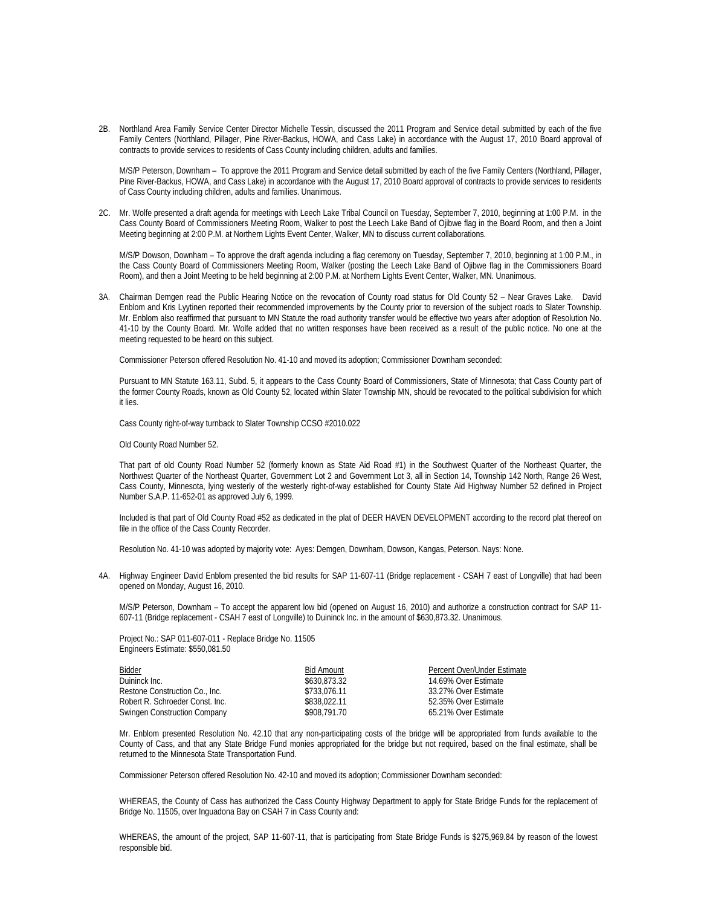2B. Northland Area Family Service Center Director Michelle Tessin, discussed the 2011 Program and Service detail submitted by each of the five Family Centers (Northland, Pillager, Pine River-Backus, HOWA, and Cass Lake) in accordance with the August 17, 2010 Board approval of contracts to provide services to residents of Cass County including children, adults and families.

M/S/P Peterson, Downham – To approve the 2011 Program and Service detail submitted by each of the five Family Centers (Northland, Pillager, Pine River-Backus, HOWA, and Cass Lake) in accordance with the August 17, 2010 Board approval of contracts to provide services to residents of Cass County including children, adults and families. Unanimous.

2C. Mr. Wolfe presented a draft agenda for meetings with Leech Lake Tribal Council on Tuesday, September 7, 2010, beginning at 1:00 P.M. in the Cass County Board of Commissioners Meeting Room, Walker to post the Leech Lake Band of Ojibwe flag in the Board Room, and then a Joint Meeting beginning at 2:00 P.M. at Northern Lights Event Center, Walker, MN to discuss current collaborations.

 M/S/P Dowson, Downham – To approve the draft agenda including a flag ceremony on Tuesday, September 7, 2010, beginning at 1:00 P.M., in the Cass County Board of Commissioners Meeting Room, Walker (posting the Leech Lake Band of Ojibwe flag in the Commissioners Board Room), and then a Joint Meeting to be held beginning at 2:00 P.M. at Northern Lights Event Center, Walker, MN. Unanimous.

3A. Chairman Demgen read the Public Hearing Notice on the revocation of County road status for Old County 52 – Near Graves Lake. David Enblom and Kris Lyytinen reported their recommended improvements by the County prior to reversion of the subject roads to Slater Township. Mr. Enblom also reaffirmed that pursuant to MN Statute the road authority transfer would be effective two years after adoption of Resolution No. 41-10 by the County Board. Mr. Wolfe added that no written responses have been received as a result of the public notice. No one at the meeting requested to be heard on this subject.

Commissioner Peterson offered Resolution No. 41-10 and moved its adoption; Commissioner Downham seconded:

Pursuant to MN Statute 163.11, Subd. 5, it appears to the Cass County Board of Commissioners, State of Minnesota; that Cass County part of the former County Roads, known as Old County 52, located within Slater Township MN, should be revocated to the political subdivision for which it lies.

Cass County right-of-way turnback to Slater Township CCSO #2010.022

Old County Road Number 52.

That part of old County Road Number 52 (formerly known as State Aid Road #1) in the Southwest Quarter of the Northeast Quarter, the Northwest Quarter of the Northeast Quarter, Government Lot 2 and Government Lot 3, all in Section 14, Township 142 North, Range 26 West, Cass County, Minnesota, lying westerly of the westerly right-of-way established for County State Aid Highway Number 52 defined in Project Number S.A.P. 11-652-01 as approved July 6, 1999.

Included is that part of Old County Road #52 as dedicated in the plat of DEER HAVEN DEVELOPMENT according to the record plat thereof on file in the office of the Cass County Recorder.

Resolution No. 41-10 was adopted by majority vote: Ayes: Demgen, Downham, Dowson, Kangas, Peterson. Nays: None.

4A. Highway Engineer David Enblom presented the bid results for SAP 11-607-11 (Bridge replacement - CSAH 7 east of Longville) that had been opened on Monday, August 16, 2010.

M/S/P Peterson, Downham – To accept the apparent low bid (opened on August 16, 2010) and authorize a construction contract for SAP 11- 607-11 (Bridge replacement - CSAH 7 east of Longville) to Duininck Inc. in the amount of \$630,873.32. Unanimous.

Project No.: SAP 011-607-011 - Replace Bridge No. 11505 Engineers Estimate: \$550,081.50

| <b>Bidder</b>                       | Bid Amount   | Percent Over/Under Estimate |
|-------------------------------------|--------------|-----------------------------|
| Duininck Inc.                       | \$630,873.32 | 14.69% Over Estimate        |
| Restone Construction Co., Inc.      | \$733.076.11 | 33.27% Over Estimate        |
| Robert R. Schroeder Const. Inc.     | \$838,022.11 | 52.35% Over Estimate        |
| <b>Swingen Construction Company</b> | \$908,791.70 | 65.21% Over Estimate        |

Mr. Enblom presented Resolution No. 42.10 that any non-participating costs of the bridge will be appropriated from funds available to the County of Cass, and that any State Bridge Fund monies appropriated for the bridge but not required, based on the final estimate, shall be returned to the Minnesota State Transportation Fund.

Commissioner Peterson offered Resolution No. 42-10 and moved its adoption; Commissioner Downham seconded:

WHEREAS, the County of Cass has authorized the Cass County Highway Department to apply for State Bridge Funds for the replacement of Bridge No. 11505, over Inguadona Bay on CSAH 7 in Cass County and:

WHEREAS, the amount of the project, SAP 11-607-11, that is participating from State Bridge Funds is \$275,969.84 by reason of the lowest responsible bid.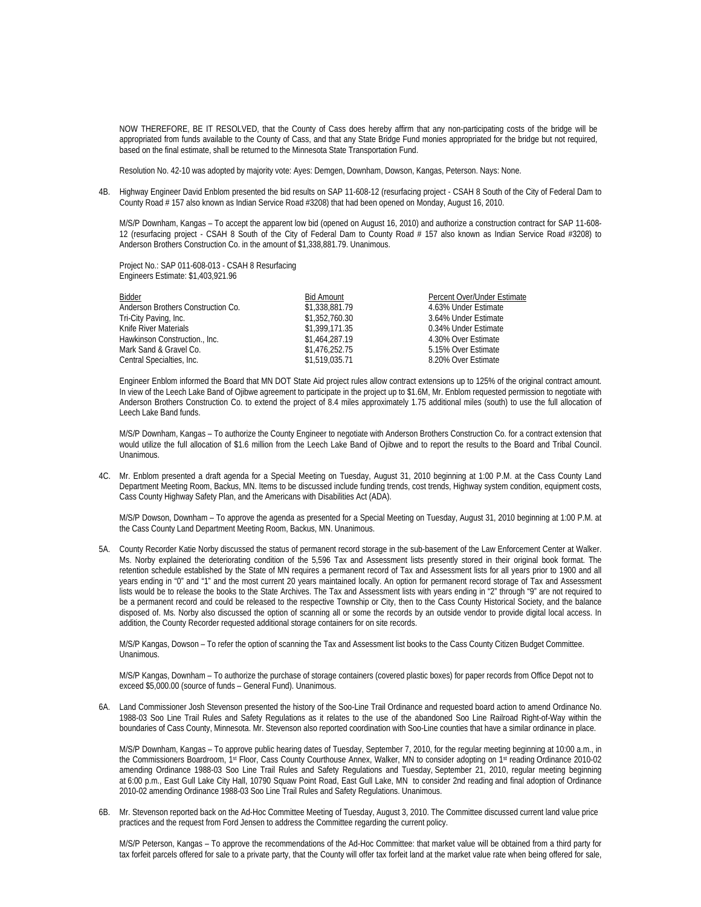NOW THEREFORE, BE IT RESOLVED, that the County of Cass does hereby affirm that any non-participating costs of the bridge will be appropriated from funds available to the County of Cass, and that any State Bridge Fund monies appropriated for the bridge but not required, based on the final estimate, shall be returned to the Minnesota State Transportation Fund.

Resolution No. 42-10 was adopted by majority vote: Ayes: Demgen, Downham, Dowson, Kangas, Peterson. Nays: None.

4B. Highway Engineer David Enblom presented the bid results on SAP 11-608-12 (resurfacing project - CSAH 8 South of the City of Federal Dam to County Road # 157 also known as Indian Service Road #3208) that had been opened on Monday, August 16, 2010.

M/S/P Downham, Kangas – To accept the apparent low bid (opened on August 16, 2010) and authorize a construction contract for SAP 11-608- 12 (resurfacing project - CSAH 8 South of the City of Federal Dam to County Road # 157 also known as Indian Service Road #3208) to Anderson Brothers Construction Co. in the amount of \$1,338,881.79. Unanimous.

Project No.: SAP 011-608-013 - CSAH 8 Resurfacing Engineers Estimate: \$1,403,921.96

| <b>Bid Amount</b> | Percent Over/Under Estimate |
|-------------------|-----------------------------|
| \$1,338,881.79    | 4.63% Under Estimate        |
| \$1,352,760,30    | 3.64% Under Estimate        |
| \$1,399,171,35    | 0.34% Under Estimate        |
| \$1,464,287.19    | 4.30% Over Estimate         |
| \$1,476,252.75    | 5.15% Over Estimate         |
| \$1,519,035.71    | 8.20% Over Estimate         |
|                   |                             |

 Engineer Enblom informed the Board that MN DOT State Aid project rules allow contract extensions up to 125% of the original contract amount. In view of the Leech Lake Band of Ojibwe agreement to participate in the project up to \$1.6M, Mr. Enblom requested permission to negotiate with Anderson Brothers Construction Co. to extend the project of 8.4 miles approximately 1.75 additional miles (south) to use the full allocation of Leech Lake Band funds.

M/S/P Downham, Kangas – To authorize the County Engineer to negotiate with Anderson Brothers Construction Co. for a contract extension that would utilize the full allocation of \$1.6 million from the Leech Lake Band of Ojibwe and to report the results to the Board and Tribal Council. Unanimous.

4C. Mr. Enblom presented a draft agenda for a Special Meeting on Tuesday, August 31, 2010 beginning at 1:00 P.M. at the Cass County Land Department Meeting Room, Backus, MN. Items to be discussed include funding trends, cost trends, Highway system condition, equipment costs, Cass County Highway Safety Plan, and the Americans with Disabilities Act (ADA).

 M/S/P Dowson, Downham – To approve the agenda as presented for a Special Meeting on Tuesday, August 31, 2010 beginning at 1:00 P.M. at the Cass County Land Department Meeting Room, Backus, MN. Unanimous.

5A. County Recorder Katie Norby discussed the status of permanent record storage in the sub-basement of the Law Enforcement Center at Walker. Ms. Norby explained the deteriorating condition of the 5,596 Tax and Assessment lists presently stored in their original book format. The retention schedule established by the State of MN requires a permanent record of Tax and Assessment lists for all years prior to 1900 and all years ending in "0" and "1" and the most current 20 years maintained locally. An option for permanent record storage of Tax and Assessment lists would be to release the books to the State Archives. The Tax and Assessment lists with years ending in "2" through "9" are not required to be a permanent record and could be released to the respective Township or City, then to the Cass County Historical Society, and the balance disposed of. Ms. Norby also discussed the option of scanning all or some the records by an outside vendor to provide digital local access. In addition, the County Recorder requested additional storage containers for on site records.

M/S/P Kangas, Dowson – To refer the option of scanning the Tax and Assessment list books to the Cass County Citizen Budget Committee. Unanimous.

M/S/P Kangas, Downham – To authorize the purchase of storage containers (covered plastic boxes) for paper records from Office Depot not to exceed \$5,000.00 (source of funds – General Fund). Unanimous.

6A. Land Commissioner Josh Stevenson presented the history of the Soo-Line Trail Ordinance and requested board action to amend Ordinance No. 1988-03 Soo Line Trail Rules and Safety Regulations as it relates to the use of the abandoned Soo Line Railroad Right-of-Way within the boundaries of Cass County, Minnesota. Mr. Stevenson also reported coordination with Soo-Line counties that have a similar ordinance in place.

M/S/P Downham, Kangas – To approve public hearing dates of Tuesday, September 7, 2010, for the regular meeting beginning at 10:00 a.m., in the Commissioners Boardroom, 1st Floor, Cass County Courthouse Annex, Walker, MN to consider adopting on 1st reading Ordinance 2010-02 amending Ordinance 1988-03 Soo Line Trail Rules and Safety Regulations and Tuesday, September 21, 2010, regular meeting beginning at 6:00 p.m., East Gull Lake City Hall, 10790 Squaw Point Road, East Gull Lake, MN to consider 2nd reading and final adoption of Ordinance 2010-02 amending Ordinance 1988-03 Soo Line Trail Rules and Safety Regulations. Unanimous.

6B. Mr. Stevenson reported back on the Ad-Hoc Committee Meeting of Tuesday, August 3, 2010. The Committee discussed current land value price practices and the request from Ford Jensen to address the Committee regarding the current policy.

 M/S/P Peterson, Kangas – To approve the recommendations of the Ad-Hoc Committee: that market value will be obtained from a third party for tax forfeit parcels offered for sale to a private party, that the County will offer tax forfeit land at the market value rate when being offered for sale,